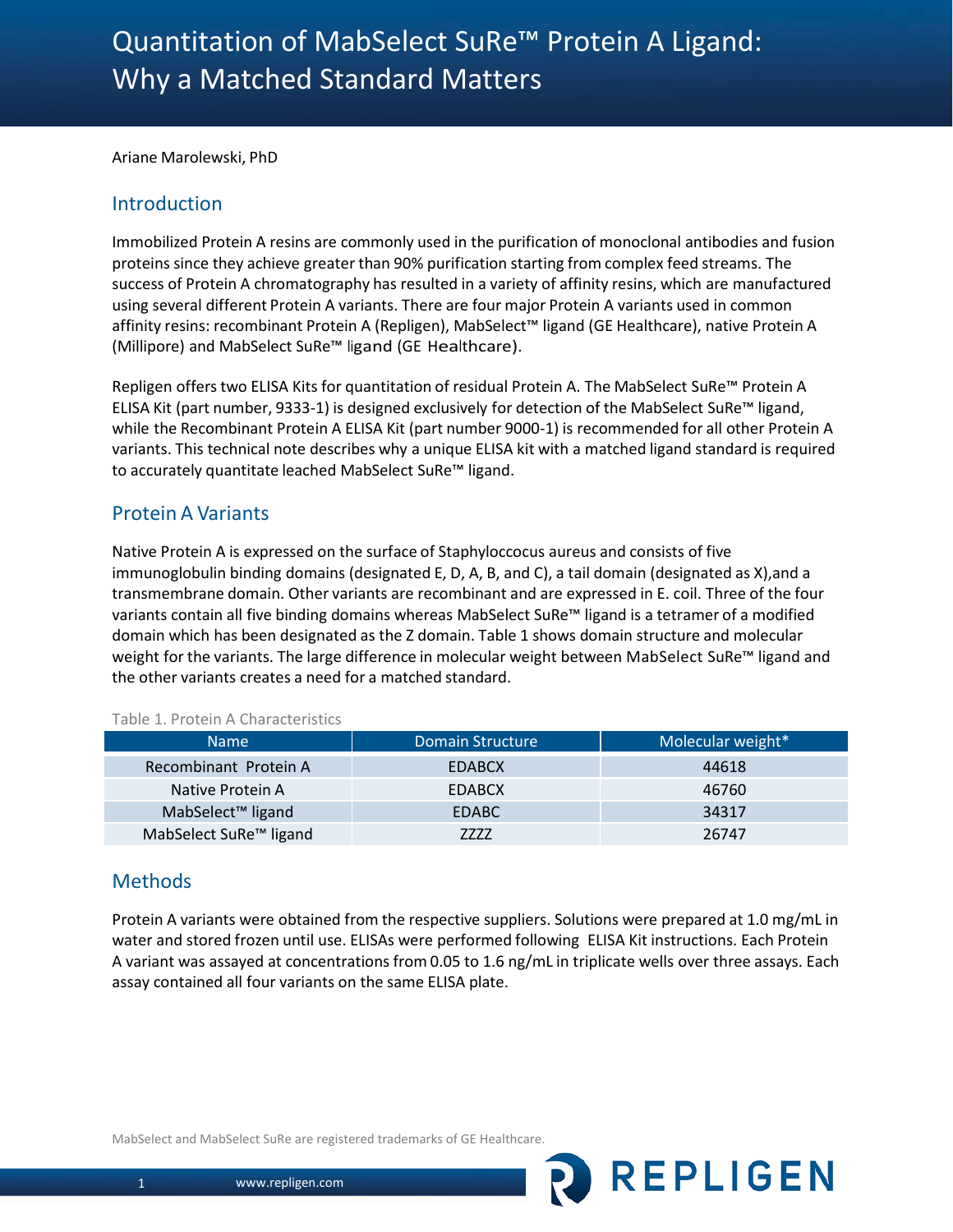Ariane Marolewski, PhD

### Introduction

Immobilized Protein A resins are commonly used in the purification of monoclonal antibodies and fusion proteins since they achieve greater than 90% purification starting from complex feed streams. The success of Protein A chromatography has resulted in a variety of affinity resins, which are manufactured using several different Protein A variants. There are four major Protein A variants used in common affinity resins: recombinant Protein A (Repligen), MabSelect™ ligand (GE Healthcare), native Protein A (Millipore) and MabSelect SuRe™ ligand (GE Healthcare).

Repligen offers two ELISA Kits for quantitation of residual Protein A. The MabSelect SuRe™ Protein A ELISA Kit (part number, 9333-1) is designed exclusively for detection of the MabSelect SuRe™ ligand, while the Recombinant Protein A ELISA Kit (part number 9000-1) is recommended for all other Protein A variants. This technical note describes why a unique ELISA kit with a matched ligand standard is required to accurately quantitate leached MabSelect SuRe™ ligand.

### Protein A Variants

Native Protein A is expressed on the surface of Staphyloccocus aureus and consists of five immunoglobulin binding domains (designated E, D, A, B, and C), a tail domain (designated as X),and a transmembrane domain. Other variants are recombinant and are expressed in E. coil. Three of the four variants contain all five binding domains whereas MabSelect SuRe™ ligand is a tetramer of a modified domain which has been designated as the Z domain. Table 1 shows domain structure and molecular weight for the variants. The large difference in molecular weight between MabSelect SuRe™ ligand and the other variants creates a need for a matched standard.

| <b>Name</b>                        | Domain Structure | Molecular weight* |
|------------------------------------|------------------|-------------------|
| Recombinant Protein A              | <b>EDABCX</b>    | 44618             |
| Native Protein A                   | <b>EDABCX</b>    | 46760             |
| MabSelect <sup>™</sup> ligand      | <b>EDABC</b>     | 34317             |
| MabSelect SuRe <sup>™</sup> ligand | 7777             | 26747             |

Table 1. Protein A Characteristics

### **Methods**

Protein A variants were obtained from the respective suppliers. Solutions were prepared at 1.0 mg/mL in water and stored frozen until use. ELISAs were performed following ELISA Kit instructions. Each Protein A variant was assayed at concentrations from 0.05 to 1.6 ng/mL in triplicate wells over three assays. Each assay contained all four variants on the same ELISA plate.

REPLIGEN

MabSelect and MabSelect SuRe are registered trademarks of GE Healthcare.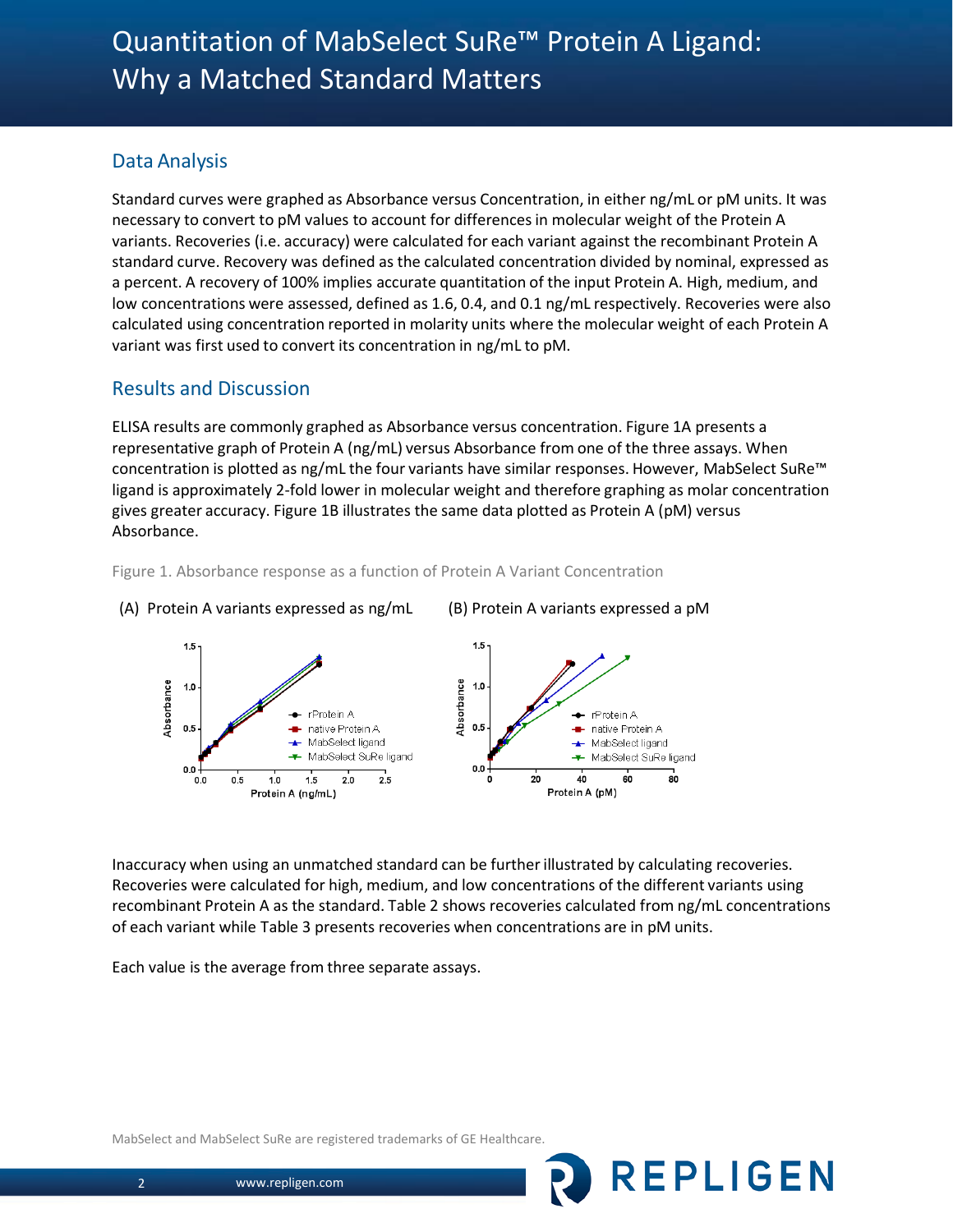# Data Analysis

Standard curves were graphed as Absorbance versus Concentration, in either ng/mL or pM units. It was necessary to convert to pM values to account for differencesin molecular weight of the Protein A variants. Recoveries (i.e. accuracy) were calculated for each variant against the recombinant Protein A standard curve. Recovery was defined as the calculated concentration divided by nominal, expressed as a percent. A recovery of 100% implies accurate quantitation of the input Protein A. High, medium, and low concentrations were assessed, defined as 1.6, 0.4, and 0.1 ng/mL respectively. Recoveries were also calculated using concentration reported in molarity units where the molecular weight of each Protein A variant was first used to convert its concentration in ng/mL to pM.

## Results and Discussion

ELISA results are commonly graphed as Absorbance versus concentration. Figure 1A presents a representative graph of Protein A (ng/mL) versus Absorbance from one of the three assays. When concentration is plotted as ng/mL the four variants have similar responses. However, MabSelect SuRe™ ligand is approximately 2-fold lower in molecular weight and therefore graphing as molar concentration gives greater accuracy. Figure 1B illustrates the same data plotted as Protein A (pM) versus Absorbance.



Figure 1. Absorbance response as a function of Protein A Variant Concentration

Inaccuracy when using an unmatched standard can be furtherillustrated by calculating recoveries. Recoveries were calculated for high, medium, and low concentrations of the different variants using recombinant Protein A as the standard. Table 2 shows recoveries calculated from ng/mL concentrations of each variant while Table 3 presents recoveries when concentrations are in pM units.

**REPLIGEN** 

Each value is the average from three separate assays.

MabSelect and MabSelect SuRe are registered trademarks of GE Healthcare.